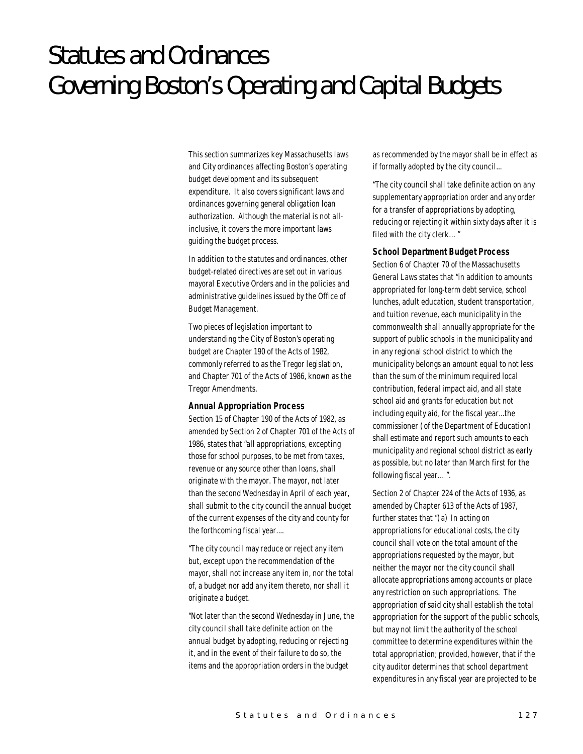# Statutes and Ordinances Governing Boston's Operating and Capital Budgets

This section summarizes key Massachusetts laws and City ordinances affecting Boston's operating budget development and its subsequent expenditure. It also covers significant laws and ordinances governing general obligation loan authorization. Although the material is not allinclusive, it covers the more important laws guiding the budget process.

In addition to the statutes and ordinances, other budget-related directives are set out in various mayoral Executive Orders and in the policies and administrative guidelines issued by the Office of Budget Management.

Two pieces of legislation important to understanding the City of Boston's operating budget are Chapter 190 of the Acts of 1982, commonly referred to as the Tregor legislation, and Chapter 701 of the Acts of 1986, known as the Tregor Amendments.

#### *Annual Appropriation Process*

Section 15 of Chapter 190 of the Acts of 1982, as amended by Section 2 of Chapter 701 of the Acts of 1986, states that "all appropriations, excepting those for school purposes, to be met from taxes, revenue or any source other than loans, shall originate with the mayor. The mayor, not later than the second Wednesday in April of each year, shall submit to the city council the annual budget of the current expenses of the city and county for the forthcoming fiscal year....

"The city council may reduce or reject any item but, except upon the recommendation of the mayor, shall not increase any item in, nor the total of, a budget nor add any item thereto, nor shall it originate a budget.

"Not later than the second Wednesday in June, the city council shall take definite action on the annual budget by adopting, reducing or rejecting it, and in the event of their failure to do so, the items and the appropriation orders in the budget

as recommended by the mayor shall be in effect as if formally adopted by the city council...

"The city council shall take definite action on any supplementary appropriation order and any order for a transfer of appropriations by adopting, reducing or rejecting it within sixty days after it is filed with the city clerk…"

#### *School Department Budget Process*

Section 6 of Chapter 70 of the Massachusetts General Laws states that "in addition to amounts appropriated for long-term debt service, school lunches, adult education, student transportation, and tuition revenue, each municipality in the commonwealth shall annually appropriate for the support of public schools in the municipality and in any regional school district to which the municipality belongs an amount equal to not less than the sum of the minimum required local contribution, federal impact aid, and all state school aid and grants for education but not including equity aid, for the fiscal year...the commissioner (of the Department of Education) shall estimate and report such amounts to each municipality and regional school district as early as possible, but no later than March first for the following fiscal year…".

Section 2 of Chapter 224 of the Acts of 1936, as amended by Chapter 613 of the Acts of 1987, further states that "(a) In acting on appropriations for educational costs, the city council shall vote on the total amount of the appropriations requested by the mayor, but neither the mayor nor the city council shall allocate appropriations among accounts or place any restriction on such appropriations. The appropriation of said city shall establish the total appropriation for the support of the public schools, but may not limit the authority of the school committee to determine expenditures within the total appropriation; provided, however, that if the city auditor determines that school department expenditures in any fiscal year are projected to be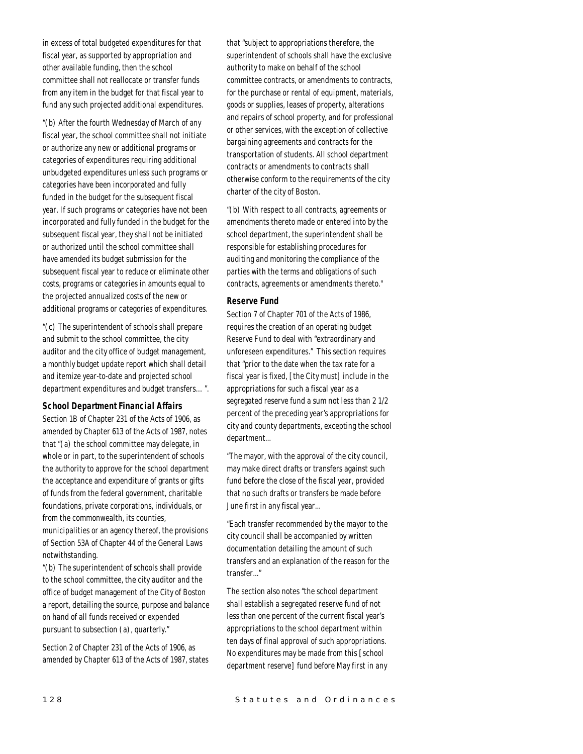in excess of total budgeted expenditures for that fiscal year, as supported by appropriation and other available funding, then the school committee shall not reallocate or transfer funds from any item in the budget for that fiscal year to fund any such projected additional expenditures.

"(b) After the fourth Wednesday of March of any fiscal year, the school committee shall not initiate or authorize any new or additional programs or categories of expenditures requiring additional unbudgeted expenditures unless such programs or categories have been incorporated and fully funded in the budget for the subsequent fiscal year. If such programs or categories have not been incorporated and fully funded in the budget for the subsequent fiscal year, they shall not be initiated or authorized until the school committee shall have amended its budget submission for the subsequent fiscal year to reduce or eliminate other costs, programs or categories in amounts equal to the projected annualized costs of the new or additional programs or categories of expenditures.

"(c) The superintendent of schools shall prepare and submit to the school committee, the city auditor and the city office of budget management, a monthly budget update report which shall detail and itemize year-to-date and projected school department expenditures and budget transfers…".

#### *School Department Financial Affairs*

Section 1B of Chapter 231 of the Acts of 1906, as amended by Chapter 613 of the Acts of 1987, notes that "(a) the school committee may delegate, in whole or in part, to the superintendent of schools the authority to approve for the school department the acceptance and expenditure of grants or gifts of funds from the federal government, charitable foundations, private corporations, individuals, or from the commonwealth, its counties, municipalities or an agency thereof, the provisions of Section 53A of Chapter 44 of the General Laws

notwithstanding. "(b) The superintendent of schools shall provide to the school committee, the city auditor and the office of budget management of the City of Boston a report, detailing the source, purpose and balance on hand of all funds received or expended

Section 2 of Chapter 231 of the Acts of 1906, as amended by Chapter 613 of the Acts of 1987, states

pursuant to subsection (a), quarterly."

that "subject to appropriations therefore, the superintendent of schools shall have the exclusive authority to make on behalf of the school committee contracts, or amendments to contracts, for the purchase or rental of equipment, materials, goods or supplies, leases of property, alterations and repairs of school property, and for professional or other services, with the exception of collective bargaining agreements and contracts for the transportation of students. All school department contracts or amendments to contracts shall otherwise conform to the requirements of the city charter of the city of Boston.

"(b) With respect to all contracts, agreements or amendments thereto made or entered into by the school department, the superintendent shall be responsible for establishing procedures for auditing and monitoring the compliance of the parties with the terms and obligations of such contracts, agreements or amendments thereto."

#### *Reserve Fund*

Section 7 of Chapter 701 of the Acts of 1986, requires the creation of an operating budget Reserve Fund to deal with "extraordinary and unforeseen expenditures." This section requires that "prior to the date when the tax rate for a fiscal year is fixed, [the City must] include in the appropriations for such a fiscal year as a segregated reserve fund a sum not less than 2 1/2 percent of the preceding year's appropriations for city and county departments, excepting the school department...

"The mayor, with the approval of the city council, may make direct drafts or transfers against such fund before the close of the fiscal year, provided that no such drafts or transfers be made before June first in any fiscal year...

"Each transfer recommended by the mayor to the city council shall be accompanied by written documentation detailing the amount of such transfers and an explanation of the reason for the transfer..."

The section also notes "the school department shall establish a segregated reserve fund of not less than one percent of the current fiscal year's appropriations to the school department within ten days of final approval of such appropriations. No expenditures may be made from this [school department reserve] fund before May first in any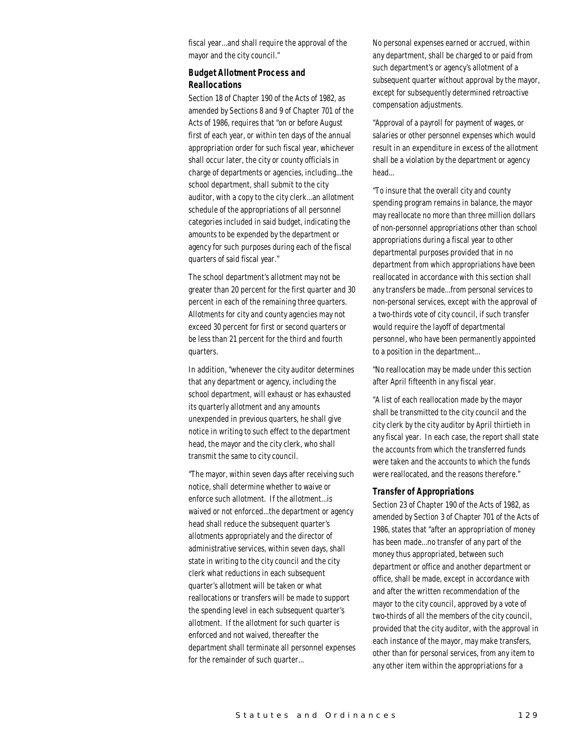fiscal year...and shall require the approval of the mayor and the city council."

## *Budget Allotment Process and Reallocations*

Section 18 of Chapter 190 of the Acts of 1982, as amended by Sections 8 and 9 of Chapter 701 of the Acts of 1986, requires that "on or before August first of each year, or within ten days of the annual appropriation order for such fiscal year, whichever shall occur later, the city or county officials in charge of departments or agencies, including...the school department, shall submit to the city auditor, with a copy to the city clerk...an allotment schedule of the appropriations of all personnel categories included in said budget, indicating the amounts to be expended by the department or agency for such purposes during each of the fiscal quarters of said fiscal year."

The school department's allotment may not be greater than 20 percent for the first quarter and 30 percent in each of the remaining three quarters. Allotments for city and county agencies may not exceed 30 percent for first or second quarters or be less than 21 percent for the third and fourth quarters.

In addition, "whenever the city auditor determines that any department or agency, including the school department, will exhaust or has exhausted its quarterly allotment and any amounts unexpended in previous quarters, he shall give notice in writing to such effect to the department head, the mayor and the city clerk, who shall transmit the same to city council.

"The mayor, within seven days after receiving such notice, shall determine whether to waive or enforce such allotment. If the allotment...is waived or not enforced...the department or agency head shall reduce the subsequent quarter's allotments appropriately and the director of administrative services, within seven days, shall state in writing to the city council and the city clerk what reductions in each subsequent quarter's allotment will be taken or what reallocations or transfers will be made to support the spending level in each subsequent quarter's allotment. If the allotment for such quarter is enforced and not waived, thereafter the department shall terminate all personnel expenses for the remainder of such quarter...

No personal expenses earned or accrued, within any department, shall be charged to or paid from such department's or agency's allotment of a subsequent quarter without approval by the mayor, except for subsequently determined retroactive compensation adjustments.

"Approval of a payroll for payment of wages, or salaries or other personnel expenses which would result in an expenditure in excess of the allotment shall be a violation by the department or agency head...

"To insure that the overall city and county spending program remains in balance, the mayor may reallocate no more than three million dollars of non-personnel appropriations other than school appropriations during a fiscal year to other departmental purposes provided that in no department from which appropriations have been reallocated in accordance with this section shall any transfers be made...from personal services to non-personal services, except with the approval of a two-thirds vote of city council, if such transfer would require the layoff of departmental personnel, who have been permanently appointed to a position in the department...

"No reallocation may be made under this section after April fifteenth in any fiscal year.

"A list of each reallocation made by the mayor shall be transmitted to the city council and the city clerk by the city auditor by April thirtieth in any fiscal year. In each case, the report shall state the accounts from which the transferred funds were taken and the accounts to which the funds were reallocated, and the reasons therefore."

#### *Transfer of Appropriations*

Section 23 of Chapter 190 of the Acts of 1982, as amended by Section 3 of Chapter 701 of the Acts of 1986, states that "after an appropriation of money has been made...no transfer of any part of the money thus appropriated, between such department or office and another department or office, shall be made, except in accordance with and after the written recommendation of the mayor to the city council, approved by a vote of two-thirds of all the members of the city council, provided that the city auditor, with the approval in each instance of the mayor, may make transfers, other than for personal services, from any item to any other item within the appropriations for a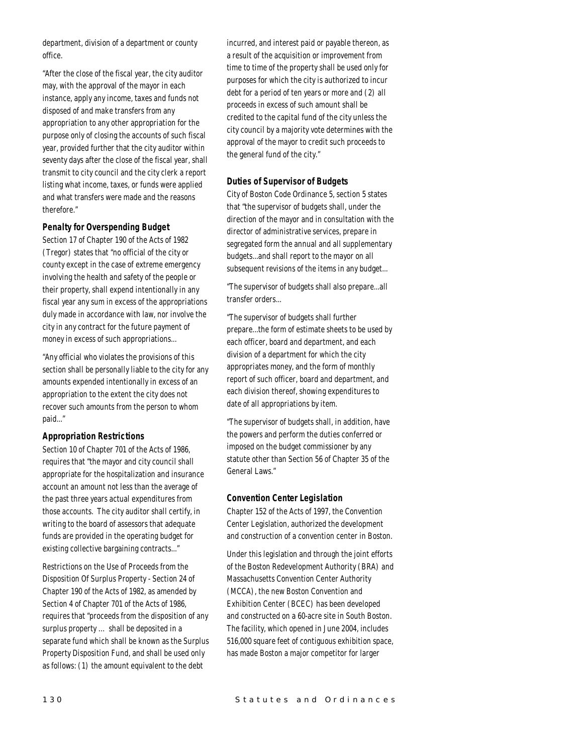department, division of a department or county office.

"After the close of the fiscal year, the city auditor may, with the approval of the mayor in each instance, apply any income, taxes and funds not disposed of and make transfers from any appropriation to any other appropriation for the purpose only of closing the accounts of such fiscal year, provided further that the city auditor within seventy days after the close of the fiscal year, shall transmit to city council and the city clerk a report listing what income, taxes, or funds were applied and what transfers were made and the reasons therefore."

## *Penalty for Overspending Budget*

Section 17 of Chapter 190 of the Acts of 1982 (Tregor) states that "no official of the city or county except in the case of extreme emergency involving the health and safety of the people or their property, shall expend intentionally in any fiscal year any sum in excess of the appropriations duly made in accordance with law, nor involve the city in any contract for the future payment of money in excess of such appropriations...

"Any official who violates the provisions of this section shall be personally liable to the city for any amounts expended intentionally in excess of an appropriation to the extent the city does not recover such amounts from the person to whom paid..."

## *Appropriation Restrictions*

Section 10 of Chapter 701 of the Acts of 1986, requires that "the mayor and city council shall appropriate for the hospitalization and insurance account an amount not less than the average of the past three years actual expenditures from those accounts. The city auditor shall certify, in writing to the board of assessors that adequate funds are provided in the operating budget for existing collective bargaining contracts..."

Restrictions on the Use of Proceeds from the Disposition Of Surplus Property - Section 24 of Chapter 190 of the Acts of 1982, as amended by Section 4 of Chapter 701 of the Acts of 1986, requires that "proceeds from the disposition of any surplus property … shall be deposited in a separate fund which shall be known as the Surplus Property Disposition Fund, and shall be used only as follows: (1) the amount equivalent to the debt

incurred, and interest paid or payable thereon, as a result of the acquisition or improvement from time to time of the property shall be used only for purposes for which the city is authorized to incur debt for a period of ten years or more and (2) all proceeds in excess of such amount shall be credited to the capital fund of the city unless the city council by a majority vote determines with the approval of the mayor to credit such proceeds to the general fund of the city."

## *Duties of Supervisor of Budgets*

City of Boston Code Ordinance 5, section 5 states that "the supervisor of budgets shall, under the direction of the mayor and in consultation with the director of administrative services, prepare in segregated form the annual and all supplementary budgets...and shall report to the mayor on all subsequent revisions of the items in any budget...

"The supervisor of budgets shall also prepare...all transfer orders...

"The supervisor of budgets shall further prepare...the form of estimate sheets to be used by each officer, board and department, and each division of a department for which the city appropriates money, and the form of monthly report of such officer, board and department, and each division thereof, showing expenditures to date of all appropriations by item.

"The supervisor of budgets shall, in addition, have the powers and perform the duties conferred or imposed on the budget commissioner by any statute other than Section 56 of Chapter 35 of the General Laws."

#### *Convention Center Legislation*

Chapter 152 of the Acts of 1997, the Convention Center Legislation, authorized the development and construction of a convention center in Boston.

Under this legislation and through the joint efforts of the Boston Redevelopment Authority (BRA) and Massachusetts Convention Center Authority (MCCA), the new Boston Convention and Exhibition Center (BCEC) has been developed and constructed on a 60-acre site in South Boston. The facility, which opened in June 2004, includes 516,000 square feet of contiguous exhibition space, has made Boston a major competitor for larger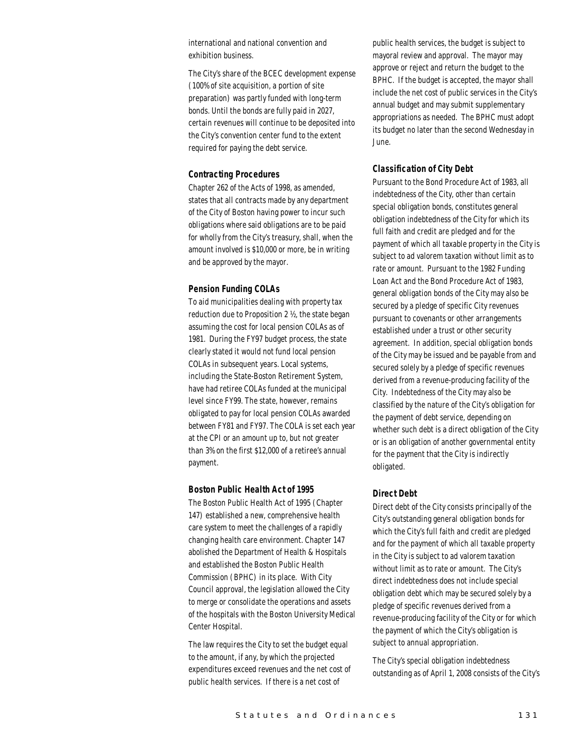international and national convention and exhibition business.

The City's share of the BCEC development expense (100% of site acquisition, a portion of site preparation) was partly funded with long-term bonds. Until the bonds are fully paid in 2027, certain revenues will continue to be deposited into the City's convention center fund to the extent required for paying the debt service.

#### *Contracting Procedures*

Chapter 262 of the Acts of 1998, as amended, states that all contracts made by any department of the City of Boston having power to incur such obligations where said obligations are to be paid for wholly from the City's treasury, shall, when the amount involved is \$10,000 or more, be in writing and be approved by the mayor.

#### *Pension Funding COLAs*

To aid municipalities dealing with property tax reduction due to Proposition 2 ½, the state began assuming the cost for local pension COLAs as of 1981. During the FY97 budget process, the state clearly stated it would not fund local pension COLAs in subsequent years. Local systems, including the State-Boston Retirement System, have had retiree COLAs funded at the municipal level since FY99. The state, however, remains obligated to pay for local pension COLAs awarded between FY81 and FY97. The COLA is set each year at the CPI or an amount up to, but not greater than 3% on the first \$12,000 of a retiree's annual payment.

#### *Boston Public Health Act of 1995*

The Boston Public Health Act of 1995 (Chapter 147) established a new, comprehensive health care system to meet the challenges of a rapidly changing health care environment. Chapter 147 abolished the Department of Health & Hospitals and established the Boston Public Health Commission (BPHC) in its place. With City Council approval, the legislation allowed the City to merge or consolidate the operations and assets of the hospitals with the Boston University Medical Center Hospital.

The law requires the City to set the budget equal to the amount, if any, by which the projected expenditures exceed revenues and the net cost of public health services. If there is a net cost of

public health services, the budget is subject to mayoral review and approval. The mayor may approve or reject and return the budget to the BPHC. If the budget is accepted, the mayor shall include the net cost of public services in the City's annual budget and may submit supplementary appropriations as needed. The BPHC must adopt its budget no later than the second Wednesday in June.

## *Classification of City Debt*

Pursuant to the Bond Procedure Act of 1983, all indebtedness of the City, other than certain special obligation bonds, constitutes general obligation indebtedness of the City for which its full faith and credit are pledged and for the payment of which all taxable property in the City is subject to ad valorem taxation without limit as to rate or amount. Pursuant to the 1982 Funding Loan Act and the Bond Procedure Act of 1983, general obligation bonds of the City may also be secured by a pledge of specific City revenues pursuant to covenants or other arrangements established under a trust or other security agreement. In addition, special obligation bonds of the City may be issued and be payable from and secured solely by a pledge of specific revenues derived from a revenue-producing facility of the City. Indebtedness of the City may also be classified by the nature of the City's obligation for the payment of debt service, depending on whether such debt is a direct obligation of the City or is an obligation of another governmental entity for the payment that the City is indirectly obligated.

## *Direct Debt*

Direct debt of the City consists principally of the City's outstanding general obligation bonds for which the City's full faith and credit are pledged and for the payment of which all taxable property in the City is subject to ad valorem taxation without limit as to rate or amount. The City's direct indebtedness does not include special obligation debt which may be secured solely by a pledge of specific revenues derived from a revenue-producing facility of the City or for which the payment of which the City's obligation is subject to annual appropriation.

The City's special obligation indebtedness outstanding as of April 1, 2008 consists of the City's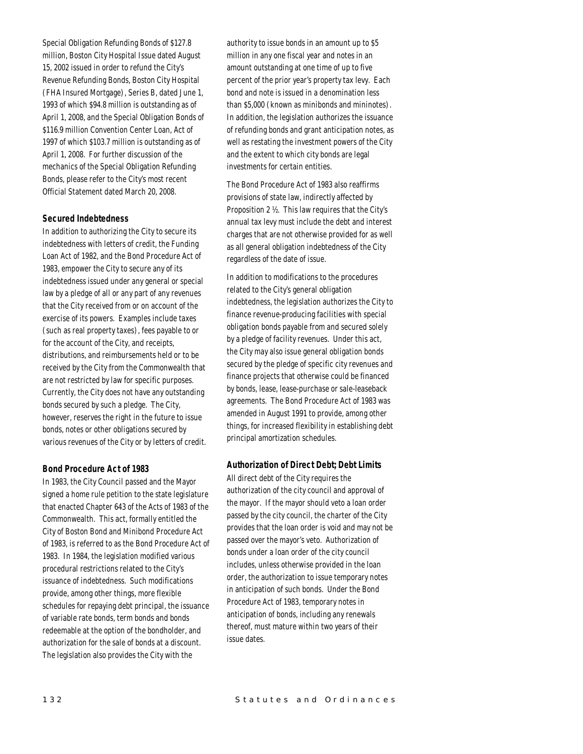Special Obligation Refunding Bonds of \$127.8 million, Boston City Hospital Issue dated August 15, 2002 issued in order to refund the City's Revenue Refunding Bonds, Boston City Hospital (FHA Insured Mortgage), Series B, dated June 1, 1993 of which \$94.8 million is outstanding as of April 1, 2008, and the Special Obligation Bonds of \$116.9 million Convention Center Loan, Act of 1997 of which \$103.7 million is outstanding as of April 1, 2008. For further discussion of the mechanics of the Special Obligation Refunding Bonds, please refer to the City's most recent Official Statement dated March 20, 2008.

## *Secured Indebtedness*

In addition to authorizing the City to secure its indebtedness with letters of credit, the Funding Loan Act of 1982, and the Bond Procedure Act of 1983, empower the City to secure any of its indebtedness issued under any general or special law by a pledge of all or any part of any revenues that the City received from or on account of the exercise of its powers. Examples include taxes (such as real property taxes), fees payable to or for the account of the City, and receipts, distributions, and reimbursements held or to be received by the City from the Commonwealth that are not restricted by law for specific purposes. Currently, the City does not have any outstanding bonds secured by such a pledge. The City, however, reserves the right in the future to issue bonds, notes or other obligations secured by various revenues of the City or by letters of credit.

## *Bond Procedure Act of 1983*

In 1983, the City Council passed and the Mayor signed a home rule petition to the state legislature that enacted Chapter 643 of the Acts of 1983 of the Commonwealth. This act, formally entitled the City of Boston Bond and Minibond Procedure Act of 1983, is referred to as the Bond Procedure Act of 1983. In 1984, the legislation modified various procedural restrictions related to the City's issuance of indebtedness. Such modifications provide, among other things, more flexible schedules for repaying debt principal, the issuance of variable rate bonds, term bonds and bonds redeemable at the option of the bondholder, and authorization for the sale of bonds at a discount. The legislation also provides the City with the

authority to issue bonds in an amount up to \$5 million in any one fiscal year and notes in an amount outstanding at one time of up to five percent of the prior year's property tax levy. Each bond and note is issued in a denomination less than \$5,000 (known as minibonds and mininotes). In addition, the legislation authorizes the issuance of refunding bonds and grant anticipation notes, as well as restating the investment powers of the City and the extent to which city bonds are legal investments for certain entities.

The Bond Procedure Act of 1983 also reaffirms provisions of state law, indirectly affected by Proposition 2 ½. This law requires that the City's annual tax levy must include the debt and interest charges that are not otherwise provided for as well as all general obligation indebtedness of the City regardless of the date of issue.

In addition to modifications to the procedures related to the City's general obligation indebtedness, the legislation authorizes the City to finance revenue-producing facilities with special obligation bonds payable from and secured solely by a pledge of facility revenues. Under this act, the City may also issue general obligation bonds secured by the pledge of specific city revenues and finance projects that otherwise could be financed by bonds, lease, lease-purchase or sale-leaseback agreements. The Bond Procedure Act of 1983 was amended in August 1991 to provide, among other things, for increased flexibility in establishing debt principal amortization schedules.

#### *Authorization of Direct Debt; Debt Limits*

All direct debt of the City requires the authorization of the city council and approval of the mayor. If the mayor should veto a loan order passed by the city council, the charter of the City provides that the loan order is void and may not be passed over the mayor's veto. Authorization of bonds under a loan order of the city council includes, unless otherwise provided in the loan order, the authorization to issue temporary notes in anticipation of such bonds. Under the Bond Procedure Act of 1983, temporary notes in anticipation of bonds, including any renewals thereof, must mature within two years of their issue dates.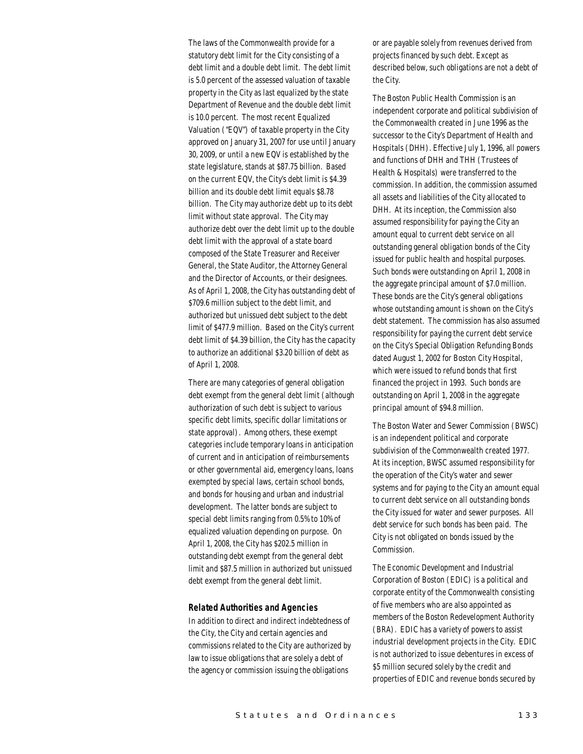The laws of the Commonwealth provide for a statutory debt limit for the City consisting of a debt limit and a double debt limit. The debt limit is 5.0 percent of the assessed valuation of taxable property in the City as last equalized by the state Department of Revenue and the double debt limit is 10.0 percent. The most recent Equalized Valuation ("EQV") of taxable property in the City approved on January 31, 2007 for use until January 30, 2009, or until a new EQV is established by the state legislature, stands at \$87.75 billion. Based on the current EQV, the City's debt limit is \$4.39 billion and its double debt limit equals \$8.78 billion. The City may authorize debt up to its debt limit without state approval. The City may authorize debt over the debt limit up to the double debt limit with the approval of a state board composed of the State Treasurer and Receiver General, the State Auditor, the Attorney General and the Director of Accounts, or their designees. As of April 1, 2008, the City has outstanding debt of \$709.6 million subject to the debt limit, and authorized but unissued debt subject to the debt limit of \$477.9 million. Based on the City's current debt limit of \$4.39 billion, the City has the capacity to authorize an additional \$3.20 billion of debt as of April 1, 2008.

There are many categories of general obligation debt exempt from the general debt limit (although authorization of such debt is subject to various specific debt limits, specific dollar limitations or state approval). Among others, these exempt categories include temporary loans in anticipation of current and in anticipation of reimbursements or other governmental aid, emergency loans, loans exempted by special laws, certain school bonds, and bonds for housing and urban and industrial development. The latter bonds are subject to special debt limits ranging from 0.5% to 10% of equalized valuation depending on purpose. On April 1, 2008, the City has \$202.5 million in outstanding debt exempt from the general debt limit and \$87.5 million in authorized but unissued debt exempt from the general debt limit.

#### *Related Authorities and Agencies*

In addition to direct and indirect indebtedness of the City, the City and certain agencies and commissions related to the City are authorized by law to issue obligations that are solely a debt of the agency or commission issuing the obligations

or are payable solely from revenues derived from projects financed by such debt. Except as described below, such obligations are not a debt of the City.

The Boston Public Health Commission is an independent corporate and political subdivision of the Commonwealth created in June 1996 as the successor to the City's Department of Health and Hospitals (DHH). Effective July 1, 1996, all powers and functions of DHH and THH (Trustees of Health & Hospitals) were transferred to the commission. In addition, the commission assumed all assets and liabilities of the City allocated to DHH. At its inception, the Commission also assumed responsibility for paying the City an amount equal to current debt service on all outstanding general obligation bonds of the City issued for public health and hospital purposes. Such bonds were outstanding on April 1, 2008 in the aggregate principal amount of \$7.0 million. These bonds are the City's general obligations whose outstanding amount is shown on the City's debt statement. The commission has also assumed responsibility for paying the current debt service on the City's Special Obligation Refunding Bonds dated August 1, 2002 for Boston City Hospital, which were issued to refund bonds that first financed the project in 1993. Such bonds are outstanding on April 1, 2008 in the aggregate principal amount of \$94.8 million.

The Boston Water and Sewer Commission (BWSC) is an independent political and corporate subdivision of the Commonwealth created 1977. At its inception, BWSC assumed responsibility for the operation of the City's water and sewer systems and for paying to the City an amount equal to current debt service on all outstanding bonds the City issued for water and sewer purposes. All debt service for such bonds has been paid. The City is not obligated on bonds issued by the Commission.

The Economic Development and Industrial Corporation of Boston (EDIC) is a political and corporate entity of the Commonwealth consisting of five members who are also appointed as members of the Boston Redevelopment Authority (BRA). EDIC has a variety of powers to assist industrial development projects in the City. EDIC is not authorized to issue debentures in excess of \$5 million secured solely by the credit and properties of EDIC and revenue bonds secured by